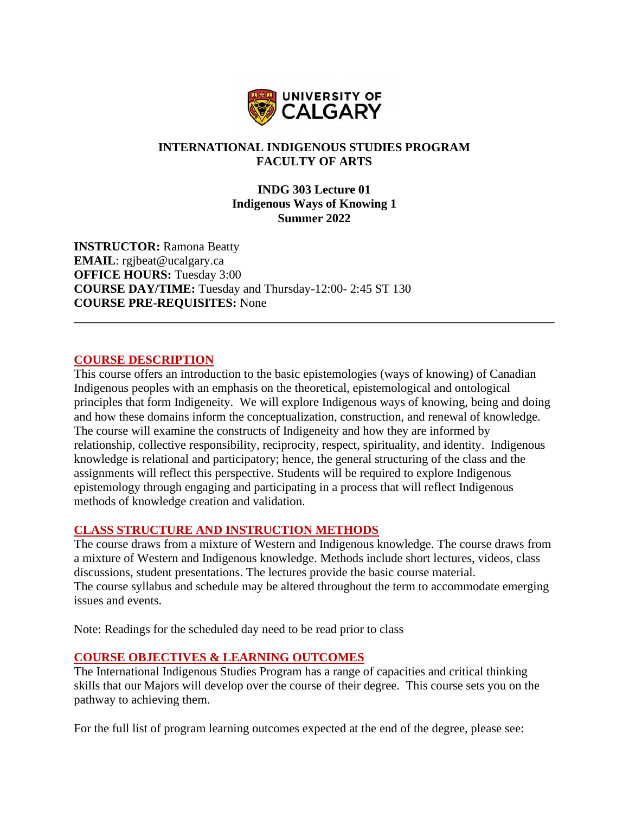

# **INTERNATIONAL INDIGENOUS STUDIES PROGRAM FACULTY OF ARTS**

### **INDG 303 Lecture 01 Indigenous Ways of Knowing 1 Summer 2022**

**\_\_\_\_\_\_\_\_\_\_\_\_\_\_\_\_\_\_\_\_\_\_\_\_\_\_\_\_\_\_\_\_\_\_\_\_\_\_\_\_\_\_\_\_\_\_\_\_\_\_\_\_\_\_\_\_\_\_\_\_\_\_\_\_\_\_\_\_\_\_\_\_\_\_\_\_\_\_**

**INSTRUCTOR:** Ramona Beatty **EMAIL**: rgjbeat@ucalgary.ca **OFFICE HOURS:** Tuesday 3:00 **COURSE DAY/TIME:** Tuesday and Thursday-12:00- 2:45 ST 130 **COURSE PRE-REQUISITES:** None

### **COURSE DESCRIPTION**

This course offers an introduction to the basic epistemologies (ways of knowing) of Canadian Indigenous peoples with an emphasis on the theoretical, epistemological and ontological principles that form Indigeneity. We will explore Indigenous ways of knowing, being and doing and how these domains inform the conceptualization, construction, and renewal of knowledge. The course will examine the constructs of Indigeneity and how they are informed by relationship, collective responsibility, reciprocity, respect, spirituality, and identity. Indigenous knowledge is relational and participatory; hence, the general structuring of the class and the assignments will reflect this perspective. Students will be required to explore Indigenous epistemology through engaging and participating in a process that will reflect Indigenous methods of knowledge creation and validation.

# **CLASS STRUCTURE AND INSTRUCTION METHODS**

The course draws from a mixture of Western and Indigenous knowledge. The course draws from a mixture of Western and Indigenous knowledge. Methods include short lectures, videos, class discussions, student presentations. The lectures provide the basic course material. The course syllabus and schedule may be altered throughout the term to accommodate emerging issues and events.

Note: Readings for the scheduled day need to be read prior to class

# **COURSE OBJECTIVES & LEARNING OUTCOMES**

The International Indigenous Studies Program has a range of capacities and critical thinking skills that our Majors will develop over the course of their degree. This course sets you on the pathway to achieving them.

For the full list of program learning outcomes expected at the end of the degree, please see: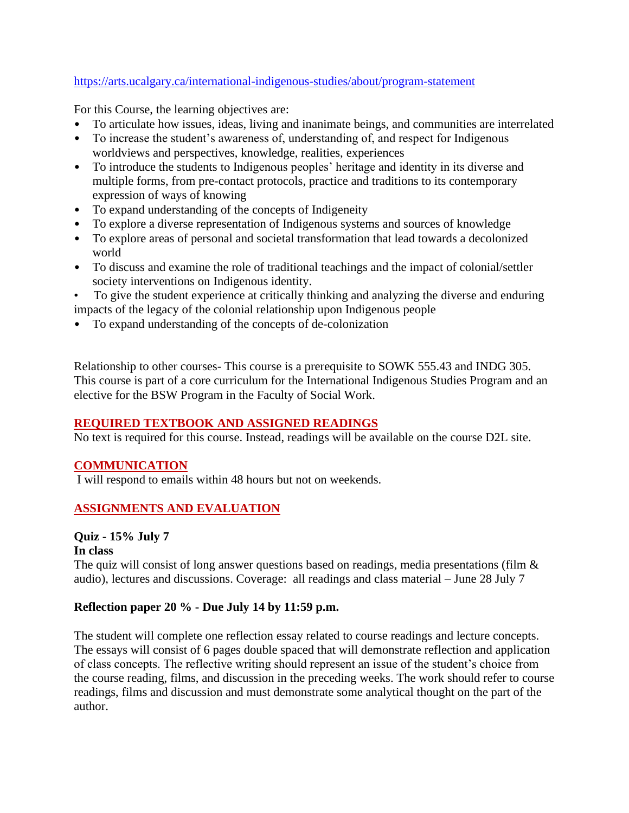# <https://arts.ucalgary.ca/international-indigenous-studies/about/program-statement>

For this Course, the learning objectives are:

- To articulate how issues, ideas, living and inanimate beings, and communities are interrelated
- To increase the student's awareness of, understanding of, and respect for Indigenous worldviews and perspectives, knowledge, realities, experiences
- To introduce the students to Indigenous peoples' heritage and identity in its diverse and multiple forms, from pre-contact protocols, practice and traditions to its contemporary expression of ways of knowing
- To expand understanding of the concepts of Indigeneity
- To explore a diverse representation of Indigenous systems and sources of knowledge
- To explore areas of personal and societal transformation that lead towards a decolonized world
- To discuss and examine the role of traditional teachings and the impact of colonial/settler society interventions on Indigenous identity.

• To give the student experience at critically thinking and analyzing the diverse and enduring impacts of the legacy of the colonial relationship upon Indigenous people

• To expand understanding of the concepts of de-colonization

Relationship to other courses- This course is a prerequisite to SOWK 555.43 and INDG 305. This course is part of a core curriculum for the International Indigenous Studies Program and an elective for the BSW Program in the Faculty of Social Work.

# **REQUIRED TEXTBOOK AND ASSIGNED READINGS**

No text is required for this course. Instead, readings will be available on the course D2L site.

# **COMMUNICATION**

I will respond to emails within 48 hours but not on weekends.

# **ASSIGNMENTS AND EVALUATION**

# **Quiz - 15% July 7**

# **In class**

The quiz will consist of long answer questions based on readings, media presentations (film & audio), lectures and discussions. Coverage: all readings and class material – June 28 July 7

# **Reflection paper 20 % - Due July 14 by 11:59 p.m.**

The student will complete one reflection essay related to course readings and lecture concepts. The essays will consist of 6 pages double spaced that will demonstrate reflection and application of class concepts. The reflective writing should represent an issue of the student's choice from the course reading, films, and discussion in the preceding weeks. The work should refer to course readings, films and discussion and must demonstrate some analytical thought on the part of the author.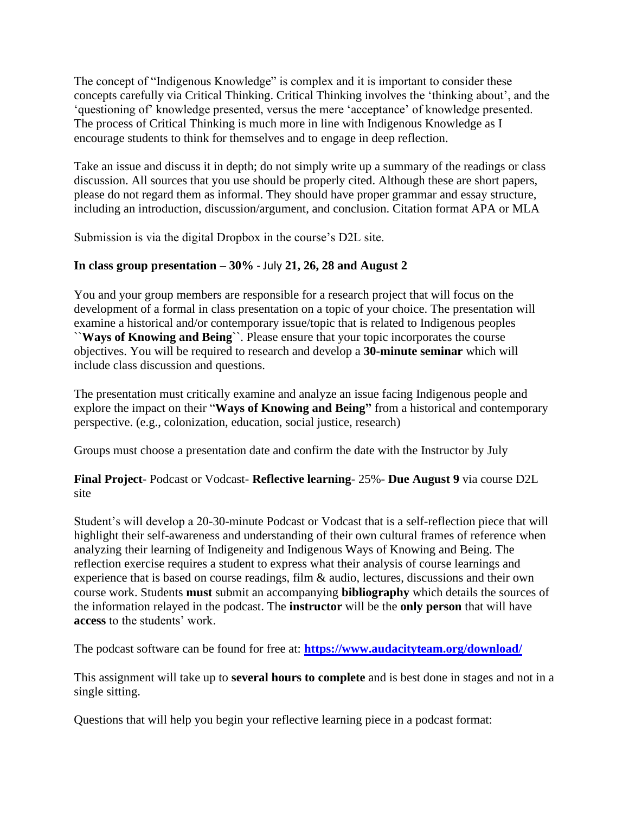The concept of "Indigenous Knowledge" is complex and it is important to consider these concepts carefully via Critical Thinking. Critical Thinking involves the 'thinking about', and the 'questioning of' knowledge presented, versus the mere 'acceptance' of knowledge presented. The process of Critical Thinking is much more in line with Indigenous Knowledge as I encourage students to think for themselves and to engage in deep reflection.

Take an issue and discuss it in depth; do not simply write up a summary of the readings or class discussion. All sources that you use should be properly cited. Although these are short papers, please do not regard them as informal. They should have proper grammar and essay structure, including an introduction, discussion/argument, and conclusion. Citation format APA or MLA

Submission is via the digital Dropbox in the course's D2L site.

# **In class group presentation – 30%** - July **21, 26, 28 and August 2**

You and your group members are responsible for a research project that will focus on the development of a formal in class presentation on a topic of your choice. The presentation will examine a historical and/or contemporary issue/topic that is related to Indigenous peoples ``**Ways of Knowing and Being**``. Please ensure that your topic incorporates the course objectives. You will be required to research and develop a **30-minute seminar** which will include class discussion and questions.

The presentation must critically examine and analyze an issue facing Indigenous people and explore the impact on their "**Ways of Knowing and Being"** from a historical and contemporary perspective. (e.g., colonization, education, social justice, research)

Groups must choose a presentation date and confirm the date with the Instructor by July

**Final Project**- Podcast or Vodcast- **Reflective learning**- 25%- **Due August 9** via course D2L site

Student's will develop a 20-30-minute Podcast or Vodcast that is a self-reflection piece that will highlight their self-awareness and understanding of their own cultural frames of reference when analyzing their learning of Indigeneity and Indigenous Ways of Knowing and Being. The reflection exercise requires a student to express what their analysis of course learnings and experience that is based on course readings, film & audio, lectures, discussions and their own course work. Students **must** submit an accompanying **bibliography** which details the sources of the information relayed in the podcast. The **instructor** will be the **only person** that will have **access** to the students' work.

The podcast software can be found for free at: **<https://www.audacityteam.org/download/>**

This assignment will take up to **several hours to complete** and is best done in stages and not in a single sitting.

Questions that will help you begin your reflective learning piece in a podcast format: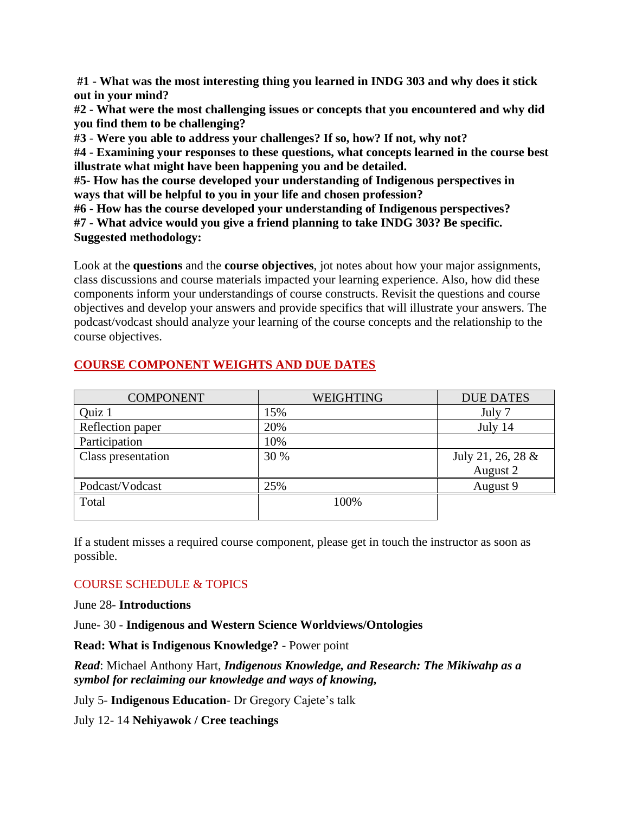**#1 - What was the most interesting thing you learned in INDG 303 and why does it stick out in your mind?**

**#2 - What were the most challenging issues or concepts that you encountered and why did you find them to be challenging?**

**#3** - **Were you able to address your challenges? If so, how? If not, why not?**

**#4 - Examining your responses to these questions, what concepts learned in the course best illustrate what might have been happening you and be detailed.**

**#5- How has the course developed your understanding of Indigenous perspectives in ways that will be helpful to you in your life and chosen profession?** 

**#6 - How has the course developed your understanding of Indigenous perspectives?**

**#7 - What advice would you give a friend planning to take INDG 303? Be specific. Suggested methodology:**

Look at the **questions** and the **course objectives**, jot notes about how your major assignments, class discussions and course materials impacted your learning experience. Also, how did these components inform your understandings of course constructs. Revisit the questions and course objectives and develop your answers and provide specifics that will illustrate your answers. The podcast/vodcast should analyze your learning of the course concepts and the relationship to the course objectives.

# **COURSE COMPONENT WEIGHTS AND DUE DATES**

| <b>COMPONENT</b>   | <b>WEIGHTING</b> | <b>DUE DATES</b>  |
|--------------------|------------------|-------------------|
| Quiz 1             | 15%              | July 7            |
| Reflection paper   | 20%              | July 14           |
| Participation      | 10%              |                   |
| Class presentation | 30 %             | July 21, 26, 28 & |
|                    |                  | August 2          |
| Podcast/Vodcast    | 25%              | August 9          |
| Total              | 100%             |                   |
|                    |                  |                   |

If a student misses a required course component, please get in touch the instructor as soon as possible.

# COURSE SCHEDULE & TOPICS

June 28- **Introductions**

June- 30 - **Indigenous and Western Science Worldviews/Ontologies**

**Read: What is Indigenous Knowledge?** - Power point

*Read*: Michael Anthony Hart, *Indigenous Knowledge, and Research: The Mikiwahp as a symbol for reclaiming our knowledge and ways of knowing,* 

July 5- **Indigenous Education**- Dr Gregory Cajete's talk

July 12- 14 **Nehiyawok / Cree teachings**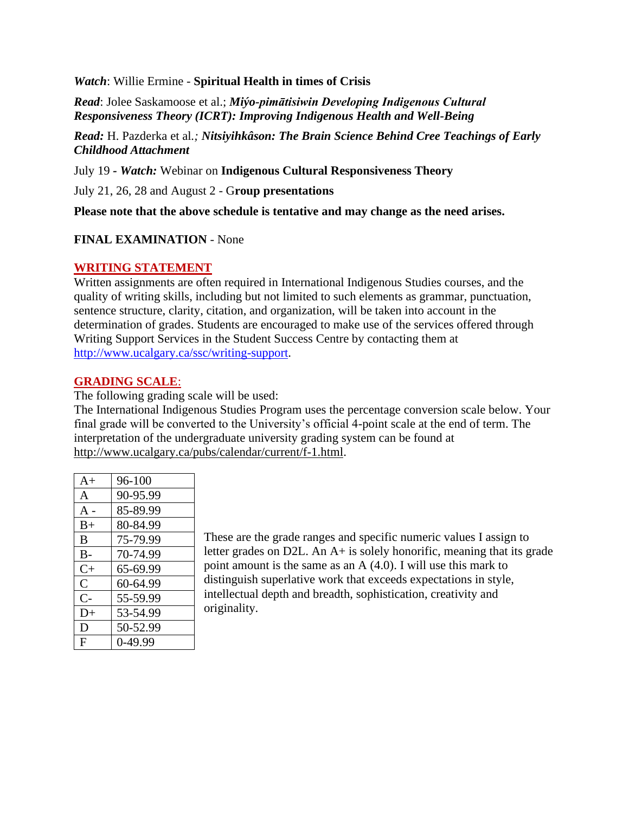*Watch*: Willie Ermine - **Spiritual Health in times of Crisis**

*Read*: Jolee Saskamoose et al.; *Miýo-pimātisiwin Developing Indigenous Cultural Responsiveness Theory (ICRT): Improving Indigenous Health and Well-Being*

*Read:* H. Pazderka et al*.; Nitsiyihkâson: The Brain Science Behind Cree Teachings of Early Childhood Attachment*

July 19 *- Watch:* Webinar on **Indigenous Cultural Responsiveness Theory**

July 21, 26, 28 and August 2 - G**roup presentations**

**Please note that the above schedule is tentative and may change as the need arises.** 

### **FINAL EXAMINATION** - None

### **WRITING STATEMENT**

Written assignments are often required in International Indigenous Studies courses, and the quality of writing skills, including but not limited to such elements as grammar, punctuation, sentence structure, clarity, citation, and organization, will be taken into account in the determination of grades. Students are encouraged to make use of the services offered through Writing Support Services in the Student Success Centre by contacting them at [http://www.ucalgary.ca/ssc/writing-support.](http://www.ucalgary.ca/ssc/writing-support)

### **GRADING SCALE**:

The following grading scale will be used:

The International Indigenous Studies Program uses the percentage conversion scale below. Your final grade will be converted to the University's official 4-point scale at the end of term. The interpretation of the undergraduate university grading system can be found at [http://www.ucalgary.ca/pubs/calendar/current/f-1.html.](http://www.ucalgary.ca/pubs/calendar/current/f-1.html)

| $A+$         | $96-100$ |
|--------------|----------|
| A            | 90-95.99 |
| $A -$        | 85-89.99 |
| $B+$         | 80-84.99 |
| B            | 75-79.99 |
| $B -$        | 70-74.99 |
| $C+$         | 65-69.99 |
| $\mathsf{C}$ | 60-64.99 |
| $C-$         | 55-59.99 |
| $D+$         | 53-54.99 |
| D            | 50-52.99 |
| F            | 0-49.99  |

These are the grade ranges and specific numeric values I assign to letter grades on D2L. An A+ is solely honorific, meaning that its grade point amount is the same as an A (4.0). I will use this mark to distinguish superlative work that exceeds expectations in style, intellectual depth and breadth, sophistication, creativity and originality.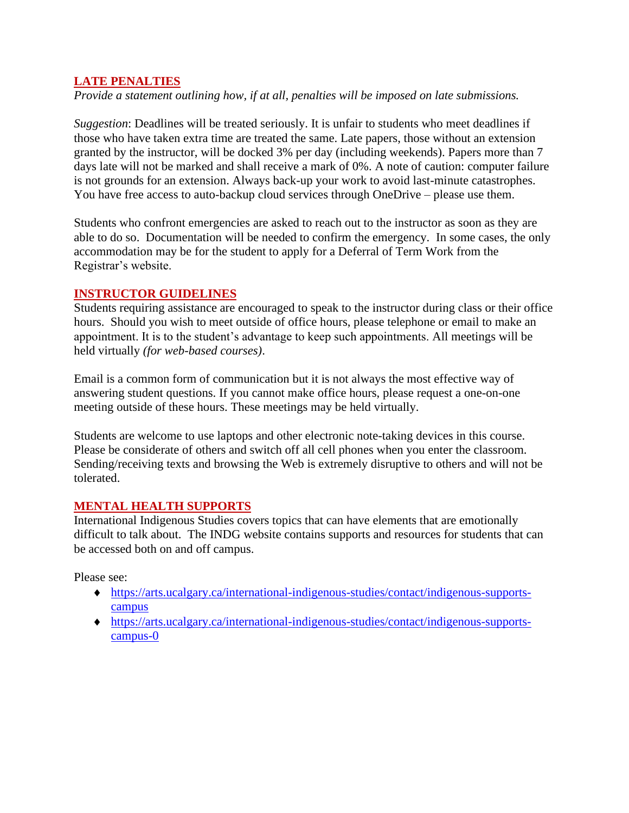# **LATE PENALTIES**

*Provide a statement outlining how, if at all, penalties will be imposed on late submissions.*

*Suggestion*: Deadlines will be treated seriously. It is unfair to students who meet deadlines if those who have taken extra time are treated the same. Late papers, those without an extension granted by the instructor, will be docked 3% per day (including weekends). Papers more than 7 days late will not be marked and shall receive a mark of 0%. A note of caution: computer failure is not grounds for an extension. Always back-up your work to avoid last-minute catastrophes. You have free access to auto-backup cloud services through OneDrive – please use them.

Students who confront emergencies are asked to reach out to the instructor as soon as they are able to do so. Documentation will be needed to confirm the emergency. In some cases, the only accommodation may be for the student to apply for a Deferral of Term Work from the Registrar's website.

### **INSTRUCTOR GUIDELINES**

Students requiring assistance are encouraged to speak to the instructor during class or their office hours. Should you wish to meet outside of office hours, please telephone or email to make an appointment. It is to the student's advantage to keep such appointments. All meetings will be held virtually *(for web-based courses)*.

Email is a common form of communication but it is not always the most effective way of answering student questions. If you cannot make office hours, please request a one-on-one meeting outside of these hours. These meetings may be held virtually.

Students are welcome to use laptops and other electronic note-taking devices in this course. Please be considerate of others and switch off all cell phones when you enter the classroom. Sending/receiving texts and browsing the Web is extremely disruptive to others and will not be tolerated.

# **MENTAL HEALTH SUPPORTS**

International Indigenous Studies covers topics that can have elements that are emotionally difficult to talk about. The INDG website contains supports and resources for students that can be accessed both on and off campus.

Please see:

- [https://arts.ucalgary.ca/international-indigenous-studies/contact/indigenous-supports](https://arts.ucalgary.ca/international-indigenous-studies/contact/indigenous-supports-campus)[campus](https://arts.ucalgary.ca/international-indigenous-studies/contact/indigenous-supports-campus)
- [https://arts.ucalgary.ca/international-indigenous-studies/contact/indigenous-supports](https://arts.ucalgary.ca/international-indigenous-studies/contact/indigenous-supports-campus-0)[campus-0](https://arts.ucalgary.ca/international-indigenous-studies/contact/indigenous-supports-campus-0)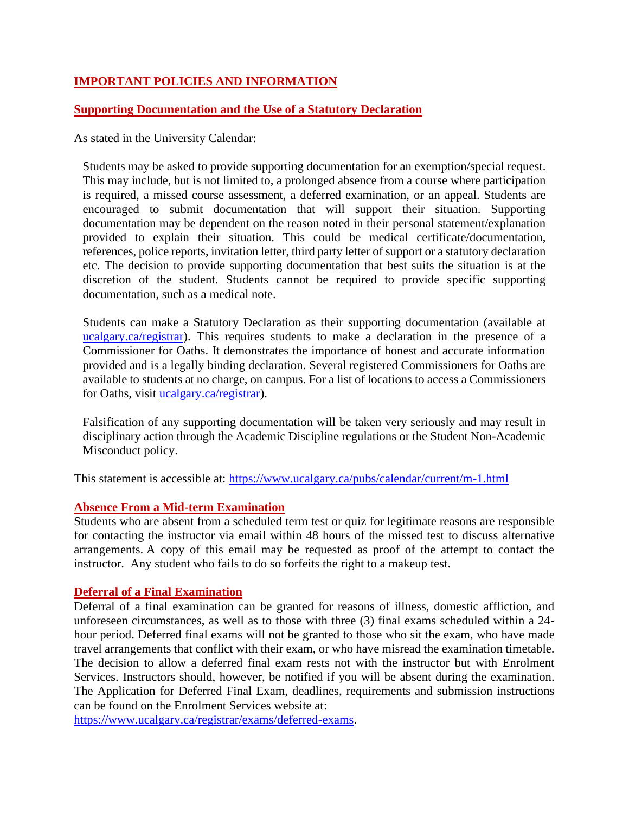# **IMPORTANT POLICIES AND INFORMATION**

# **Supporting Documentation and the Use of a Statutory Declaration**

As stated in the University Calendar:

Students may be asked to provide supporting documentation for an exemption/special request. This may include, but is not limited to, a prolonged absence from a course where participation is required, a missed course assessment, a deferred examination, or an appeal. Students are encouraged to submit documentation that will support their situation. Supporting documentation may be dependent on the reason noted in their personal statement/explanation provided to explain their situation. This could be medical certificate/documentation, references, police reports, invitation letter, third party letter of support or a statutory declaration etc. The decision to provide supporting documentation that best suits the situation is at the discretion of the student. Students cannot be required to provide specific supporting documentation, such as a medical note.

Students can make a Statutory Declaration as their supporting documentation (available at ucalgary.ca/registrar). This requires students to make a declaration in the presence of a Commissioner for Oaths. It demonstrates the importance of honest and accurate information provided and is a legally binding declaration. Several registered Commissioners for Oaths are available to students at no charge, on campus. For a list of locations to access a Commissioners for Oaths, visit [ucalgary.ca/registrar\)](http://www.ucalgary.ca/registrar).

Falsification of any supporting documentation will be taken very seriously and may result in disciplinary action through the Academic Discipline regulations or the Student Non-Academic Misconduct policy.

This statement is accessible at:<https://www.ucalgary.ca/pubs/calendar/current/m-1.html>

#### **Absence From a Mid-term Examination**

Students who are absent from a scheduled term test or quiz for legitimate reasons are responsible for contacting the instructor via email within 48 hours of the missed test to discuss alternative arrangements. A copy of this email may be requested as proof of the attempt to contact the instructor. Any student who fails to do so forfeits the right to a makeup test.

#### **Deferral of a Final Examination**

Deferral of a final examination can be granted for reasons of illness, domestic affliction, and unforeseen circumstances, as well as to those with three (3) final exams scheduled within a 24 hour period. Deferred final exams will not be granted to those who sit the exam, who have made travel arrangements that conflict with their exam, or who have misread the examination timetable. The decision to allow a deferred final exam rests not with the instructor but with Enrolment Services. Instructors should, however, be notified if you will be absent during the examination. The Application for Deferred Final Exam, deadlines, requirements and submission instructions can be found on the Enrolment Services website at:

[https://www.ucalgary.ca/registrar/exams/deferred-exams.](https://www.ucalgary.ca/registrar/exams/deferred-exams)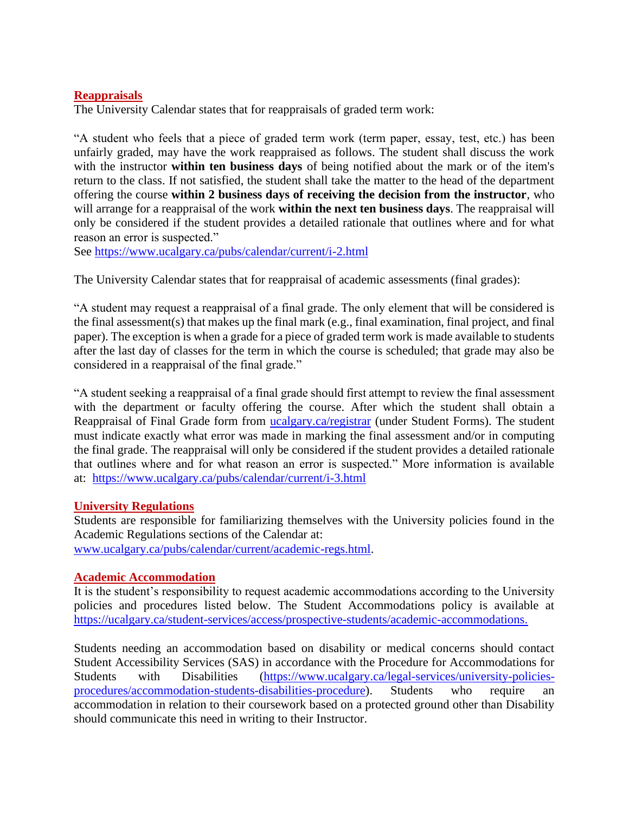# **Reappraisals**

The University Calendar states that for reappraisals of graded term work:

"A student who feels that a piece of graded term work (term paper, essay, test, etc.) has been unfairly graded, may have the work reappraised as follows. The student shall discuss the work with the instructor **within ten business days** of being notified about the mark or of the item's return to the class. If not satisfied, the student shall take the matter to the head of the department offering the course **within 2 business days of receiving the decision from the instructor**, who will arrange for a reappraisal of the work **within the next ten business days**. The reappraisal will only be considered if the student provides a detailed rationale that outlines where and for what reason an error is suspected."

See<https://www.ucalgary.ca/pubs/calendar/current/i-2.html>

The University Calendar states that for reappraisal of academic assessments (final grades):

"A student may request a reappraisal of a final grade. The only element that will be considered is the final assessment(s) that makes up the final mark (e.g., final examination, final project, and final paper). The exception is when a grade for a piece of graded term work is made available to students after the last day of classes for the term in which the course is scheduled; that grade may also be considered in a reappraisal of the final grade."

"A student seeking a reappraisal of a final grade should first attempt to review the final assessment with the department or faculty offering the course. After which the student shall obtain a Reappraisal of Final Grade form from [ucalgary.ca/registrar](https://www.ucalgary.ca/registrar/home) (under Student Forms). The student must indicate exactly what error was made in marking the final assessment and/or in computing the final grade. The reappraisal will only be considered if the student provides a detailed rationale that outlines where and for what reason an error is suspected." More information is available at: <https://www.ucalgary.ca/pubs/calendar/current/i-3.html>

#### **University Regulations**

Students are responsible for familiarizing themselves with the University policies found in the Academic Regulations sections of the Calendar at: [www.ucalgary.ca/pubs/calendar/current/academic-regs.html.](http://www.ucalgary.ca/pubs/calendar/current/academic-regs.html)

#### **Academic Accommodation**

It is the student's responsibility to request academic accommodations according to the University policies and procedures listed below. The Student Accommodations policy is available at [https://ucalgary.ca/student-services/access/prospective-students/academic-accommodations.](https://ucalgary.ca/student-services/access/prospective-students/academic-accommodations)

Students needing an accommodation based on disability or medical concerns should contact Student Accessibility Services (SAS) in accordance with the Procedure for Accommodations for Students with Disabilities [\(https://www.ucalgary.ca/legal-services/university-policies](https://www.ucalgary.ca/legal-services/university-policies-procedures/accommodation-students-disabilities-procedure)[procedures/accommodation-students-disabilities-procedure\)](https://www.ucalgary.ca/legal-services/university-policies-procedures/accommodation-students-disabilities-procedure). Students who require an accommodation in relation to their coursework based on a protected ground other than Disability should communicate this need in writing to their Instructor.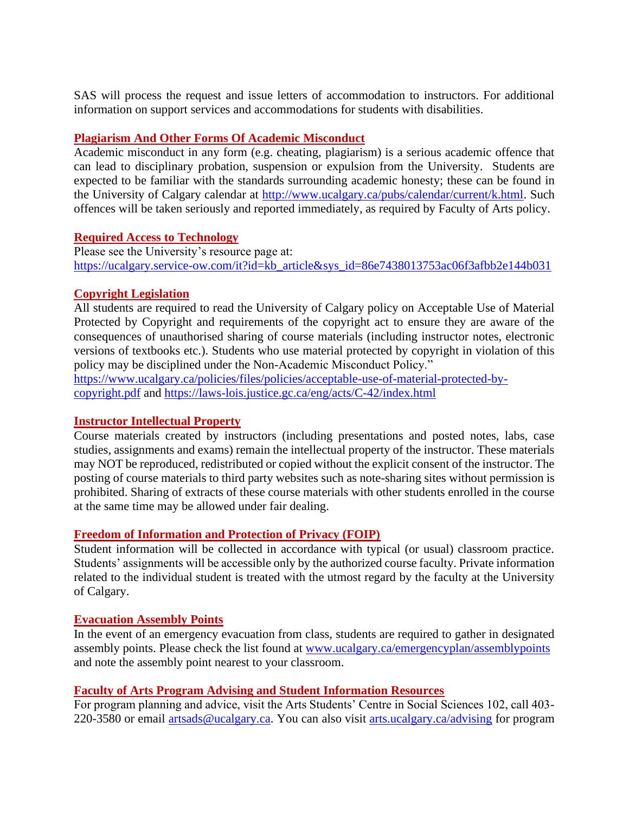SAS will process the request and issue letters of accommodation to instructors. For additional information on support services and accommodations for students with disabilities.

# **Plagiarism And Other Forms Of Academic Misconduct**

Academic misconduct in any form (e.g. cheating, plagiarism) is a serious academic offence that can lead to disciplinary probation, suspension or expulsion from the University. Students are expected to be familiar with the standards surrounding academic honesty; these can be found in the University of Calgary calendar at [http://www.ucalgary.ca/pubs/calendar/current/k.html.](http://www.ucalgary.ca/pubs/calendar/current/k.html) Such offences will be taken seriously and reported immediately, as required by Faculty of Arts policy.

#### **Required Access to Technology**

Please see the University's resource page at: [https://ucalgary.service-ow.com/it?id=kb\\_article&sys\\_id=86e7438013753ac06f3afbb2e144b031](https://ucalgary.service-ow.com/it?id=kb_article&sys_id=86e7438013753ac06f3afbb2e144b031)

### **Copyright Legislation**

All students are required to read the University of Calgary policy on Acceptable Use of Material Protected by Copyright and requirements of the copyright act to ensure they are aware of the consequences of unauthorised sharing of course materials (including instructor notes, electronic versions of textbooks etc.). Students who use material protected by copyright in violation of this policy may be disciplined under the Non-Academic Misconduct Policy."

[https://www.ucalgary.ca/policies/files/policies/acceptable-use-of-material-protected-by](https://www.ucalgary.ca/policies/files/policies/acceptable-use-of-material-protected-by-copyright.pdf)[copyright.pdf](https://www.ucalgary.ca/policies/files/policies/acceptable-use-of-material-protected-by-copyright.pdf) and<https://laws-lois.justice.gc.ca/eng/acts/C-42/index.html>

#### **Instructor Intellectual Property**

Course materials created by instructors (including presentations and posted notes, labs, case studies, assignments and exams) remain the intellectual property of the instructor. These materials may NOT be reproduced, redistributed or copied without the explicit consent of the instructor. The posting of course materials to third party websites such as note-sharing sites without permission is prohibited. Sharing of extracts of these course materials with other students enrolled in the course at the same time may be allowed under fair dealing.

#### **Freedom of Information and Protection of Privacy (FOIP)**

Student information will be collected in accordance with typical (or usual) classroom practice. Students' assignments will be accessible only by the authorized course faculty. Private information related to the individual student is treated with the utmost regard by the faculty at the University of Calgary.

#### **Evacuation Assembly Points**

In the event of an emergency evacuation from class, students are required to gather in designated assembly points. Please check the list found at [www.ucalgary.ca/emergencyplan/assemblypoints](http://www.ucalgary.ca/emergencyplan/assemblypoints) and note the assembly point nearest to your classroom.

#### **Faculty of Arts Program Advising and Student Information Resources**

For program planning and advice, visit the Arts Students' Centre in Social Sciences 102, call 403- 220-3580 or email [artsads@ucalgary.ca.](mailto:artsads@ucalgary.ca) You can also visit [arts.ucalgary.ca/advising](http://arts.ucalgary.ca/advising) for program